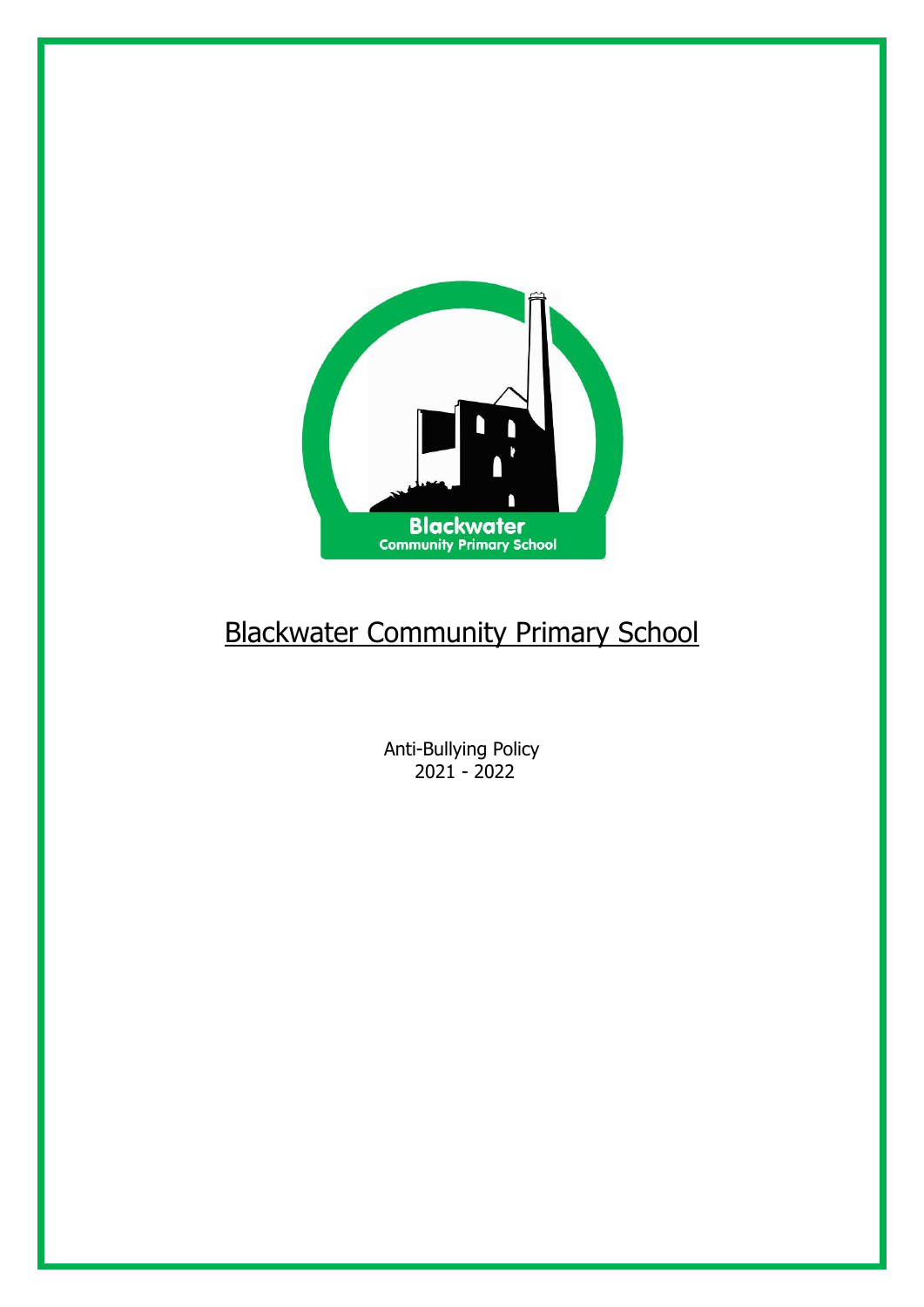

# Blackwater Community Primary School

Anti-Bullying Policy 2021 - 2022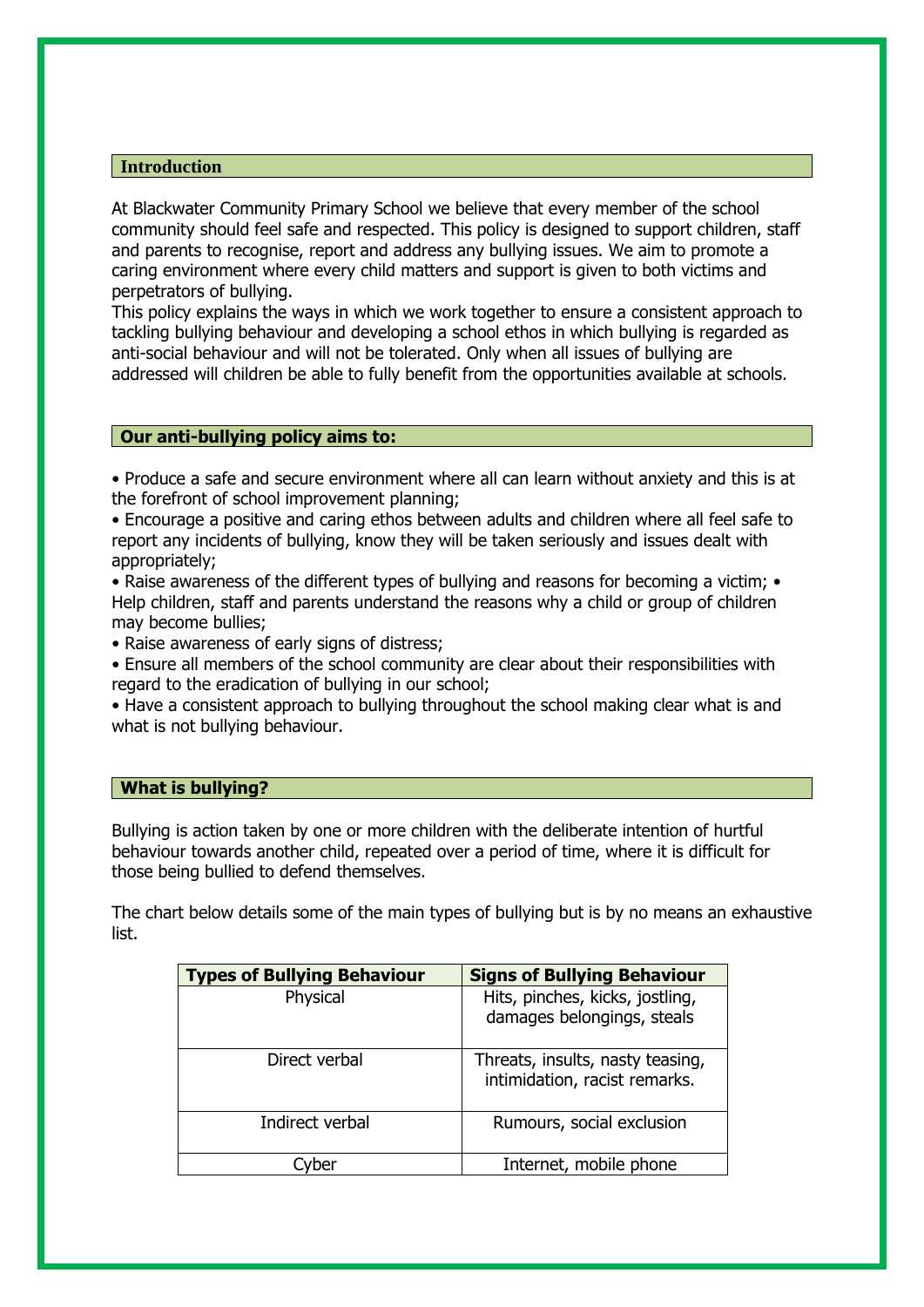## **Introduction**

At Blackwater Community Primary School we believe that every member of the school community should feel safe and respected. This policy is designed to support children, staff and parents to recognise, report and address any bullying issues. We aim to promote a caring environment where every child matters and support is given to both victims and perpetrators of bullying.

This policy explains the ways in which we work together to ensure a consistent approach to tackling bullying behaviour and developing a school ethos in which bullying is regarded as anti-social behaviour and will not be tolerated. Only when all issues of bullying are addressed will children be able to fully benefit from the opportunities available at schools.

## **Our anti-bullying policy aims to:**

• Produce a safe and secure environment where all can learn without anxiety and this is at the forefront of school improvement planning;

• Encourage a positive and caring ethos between adults and children where all feel safe to report any incidents of bullying, know they will be taken seriously and issues dealt with appropriately;

• Raise awareness of the different types of bullying and reasons for becoming a victim; • Help children, staff and parents understand the reasons why a child or group of children may become bullies;

• Raise awareness of early signs of distress;

• Ensure all members of the school community are clear about their responsibilities with regard to the eradication of bullying in our school;

• Have a consistent approach to bullying throughout the school making clear what is and what is not bullying behaviour.

#### **What is bullying?**

Bullying is action taken by one or more children with the deliberate intention of hurtful behaviour towards another child, repeated over a period of time, where it is difficult for those being bullied to defend themselves.

The chart below details some of the main types of bullying but is by no means an exhaustive list.

| <b>Types of Bullying Behaviour</b> | <b>Signs of Bullying Behaviour</b>                                |
|------------------------------------|-------------------------------------------------------------------|
| Physical                           | Hits, pinches, kicks, jostling,<br>damages belongings, steals     |
| Direct verbal                      | Threats, insults, nasty teasing,<br>intimidation, racist remarks. |
| Indirect verbal                    | Rumours, social exclusion                                         |
| er                                 | Internet, mobile phone                                            |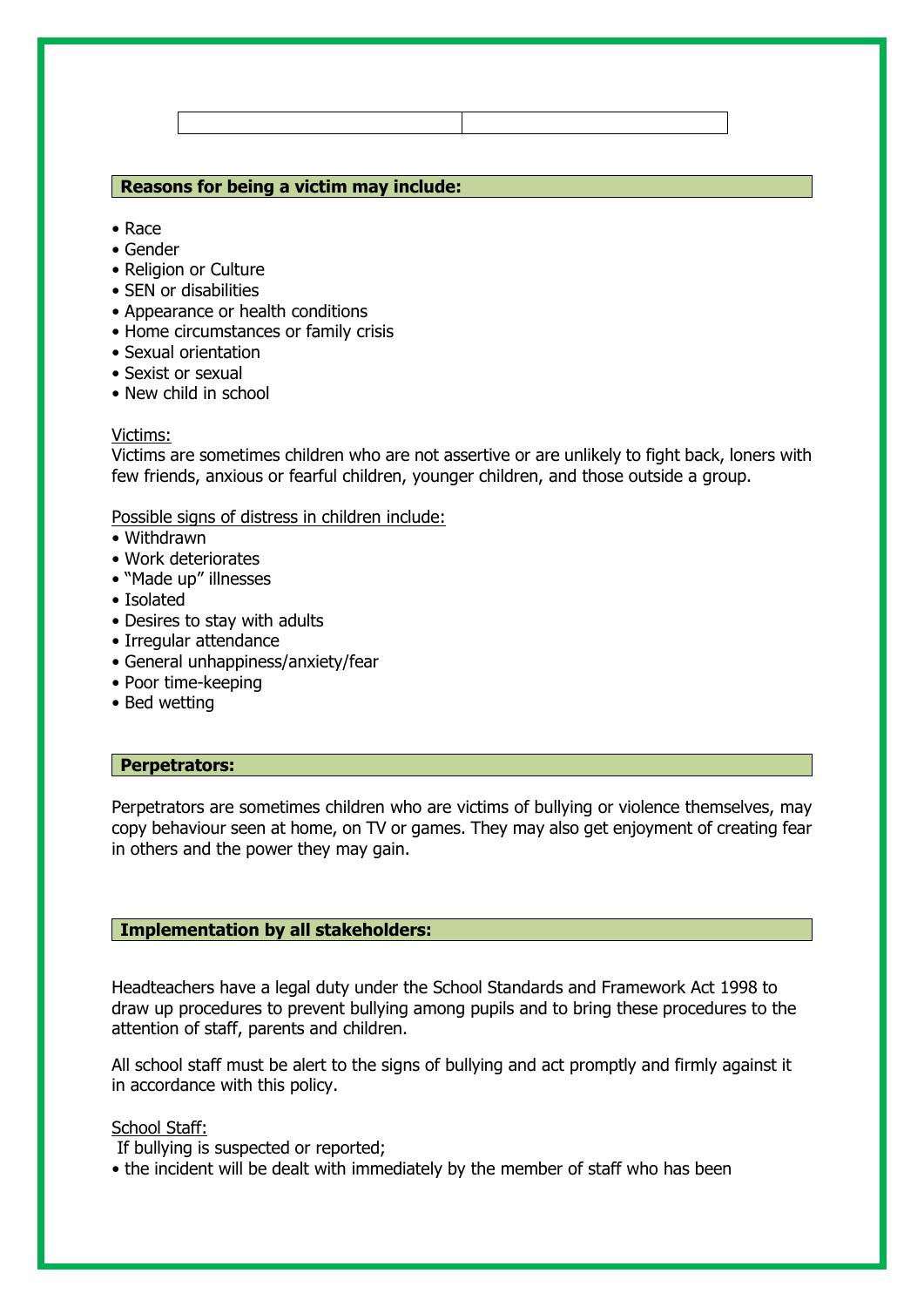## **Reasons for being a victim may include:**

- Race
- Gender
- Religion or Culture
- SEN or disabilities
- Appearance or health conditions
- Home circumstances or family crisis
- Sexual orientation
- Sexist or sexual
- New child in school

#### Victims:

Victims are sometimes children who are not assertive or are unlikely to fight back, loners with few friends, anxious or fearful children, younger children, and those outside a group.

## Possible signs of distress in children include:

- Withdrawn
- Work deteriorates
- "Made up" illnesses
- Isolated
- Desires to stay with adults
- Irregular attendance
- General unhappiness/anxiety/fear
- Poor time-keeping
- Bed wetting

## **Perpetrators:**

Perpetrators are sometimes children who are victims of bullying or violence themselves, may copy behaviour seen at home, on TV or games. They may also get enjoyment of creating fear in others and the power they may gain.

## **Implementation by all stakeholders:**

Headteachers have a legal duty under the School Standards and Framework Act 1998 to draw up procedures to prevent bullying among pupils and to bring these procedures to the attention of staff, parents and children.

All school staff must be alert to the signs of bullying and act promptly and firmly against it in accordance with this policy.

## School Staff:

If bullying is suspected or reported;

• the incident will be dealt with immediately by the member of staff who has been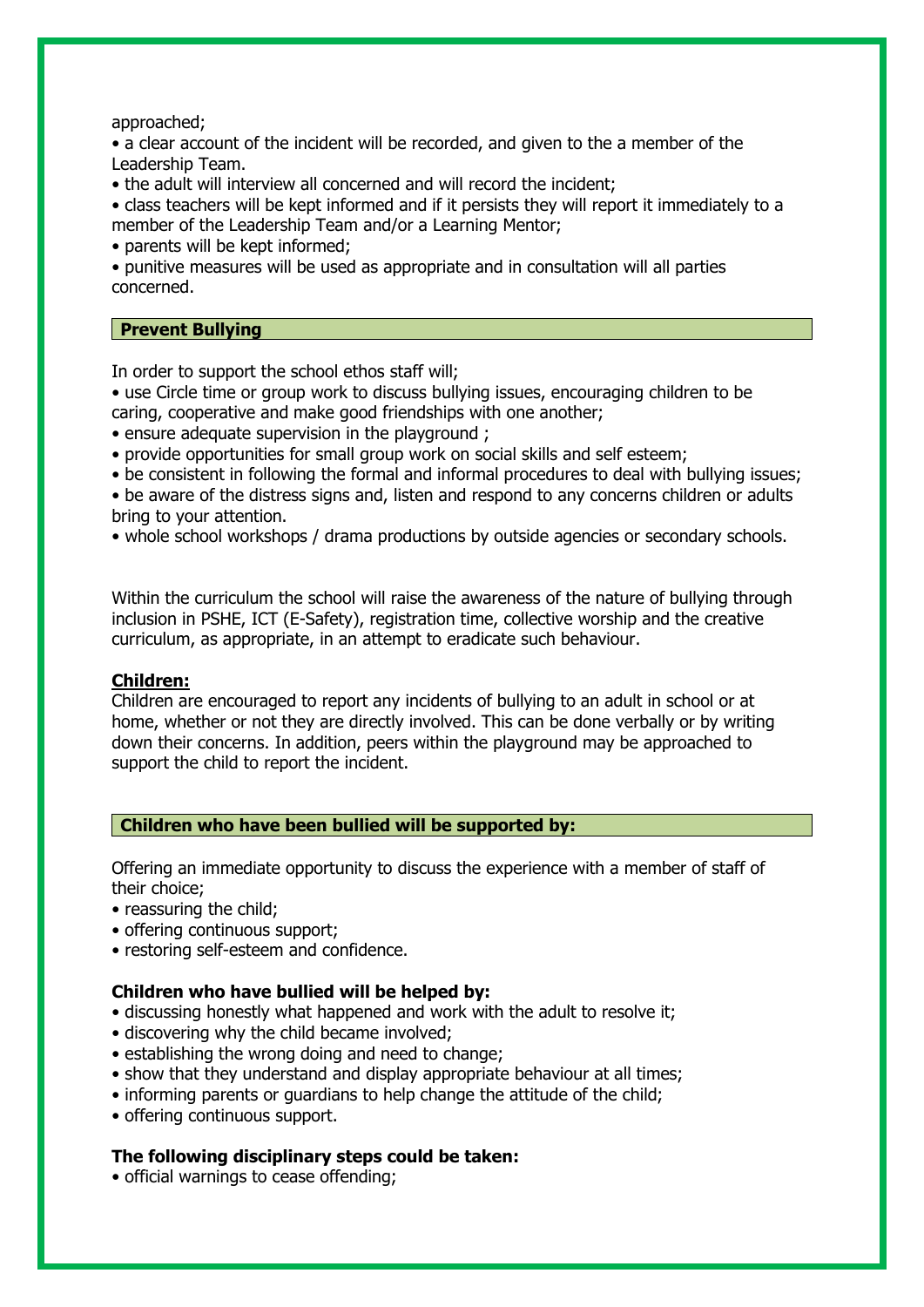approached;

• a clear account of the incident will be recorded, and given to the a member of the Leadership Team.

• the adult will interview all concerned and will record the incident;

• class teachers will be kept informed and if it persists they will report it immediately to a member of the Leadership Team and/or a Learning Mentor;

• parents will be kept informed;

• punitive measures will be used as appropriate and in consultation will all parties concerned.

## **Prevent Bullying**

In order to support the school ethos staff will;

- use Circle time or group work to discuss bullying issues, encouraging children to be caring, cooperative and make good friendships with one another;
- ensure adequate supervision in the playground ;
- provide opportunities for small group work on social skills and self esteem;
- be consistent in following the formal and informal procedures to deal with bullying issues;

• be aware of the distress signs and, listen and respond to any concerns children or adults bring to your attention.

• whole school workshops / drama productions by outside agencies or secondary schools.

Within the curriculum the school will raise the awareness of the nature of bullying through inclusion in PSHE, ICT (E-Safety), registration time, collective worship and the creative curriculum, as appropriate, in an attempt to eradicate such behaviour.

## **Children:**

Children are encouraged to report any incidents of bullying to an adult in school or at home, whether or not they are directly involved. This can be done verbally or by writing down their concerns. In addition, peers within the playground may be approached to support the child to report the incident.

## **Children who have been bullied will be supported by:**

Offering an immediate opportunity to discuss the experience with a member of staff of their choice;

- reassuring the child;
- offering continuous support;
- restoring self-esteem and confidence.

## **Children who have bullied will be helped by:**

- discussing honestly what happened and work with the adult to resolve it;
- discovering why the child became involved;
- establishing the wrong doing and need to change;
- show that they understand and display appropriate behaviour at all times;
- informing parents or guardians to help change the attitude of the child;
- offering continuous support.

## **The following disciplinary steps could be taken:**

• official warnings to cease offending;